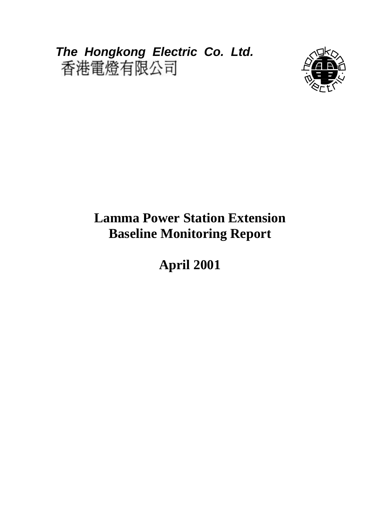*The Hongkong Electric Co. Ltd.* 



# **Lamma Power Station Extension Baseline Monitoring Report**

**April 2001**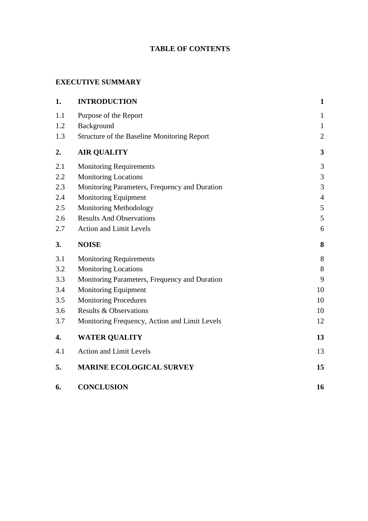## **TABLE OF CONTENTS**

## **EXECUTIVE SUMMARY**

| 1.  | <b>INTRODUCTION</b>                           | $\mathbf{1}$   |
|-----|-----------------------------------------------|----------------|
| 1.1 | Purpose of the Report                         | $\mathbf{1}$   |
| 1.2 | Background                                    | $\mathbf{1}$   |
| 1.3 | Structure of the Baseline Monitoring Report   | $\overline{2}$ |
| 2.  | <b>AIR QUALITY</b>                            | $\mathbf{3}$   |
| 2.1 | <b>Monitoring Requirements</b>                | 3              |
| 2.2 | <b>Monitoring Locations</b>                   | $\mathfrak{Z}$ |
| 2.3 | Monitoring Parameters, Frequency and Duration | 3              |
| 2.4 | <b>Monitoring Equipment</b>                   | $\overline{4}$ |
| 2.5 | <b>Monitoring Methodology</b>                 | 5              |
| 2.6 | <b>Results And Observations</b>               | 5              |
| 2.7 | <b>Action and Limit Levels</b>                | 6              |
| 3.  | <b>NOISE</b>                                  | 8              |
| 3.1 | <b>Monitoring Requirements</b>                | 8              |
| 3.2 | <b>Monitoring Locations</b>                   | 8              |
| 3.3 | Monitoring Parameters, Frequency and Duration | 9              |
| 3.4 | <b>Monitoring Equipment</b>                   | 10             |
| 3.5 | <b>Monitoring Procedures</b>                  | 10             |
| 3.6 | <b>Results &amp; Observations</b>             | 10             |
| 3.7 | Monitoring Frequency, Action and Limit Levels | 12             |
| 4.  | <b>WATER QUALITY</b>                          | 13             |
| 4.1 | <b>Action and Limit Levels</b>                | 13             |
| 5.  | <b>MARINE ECOLOGICAL SURVEY</b>               | 15             |
| 6.  | <b>CONCLUSION</b>                             | 16             |